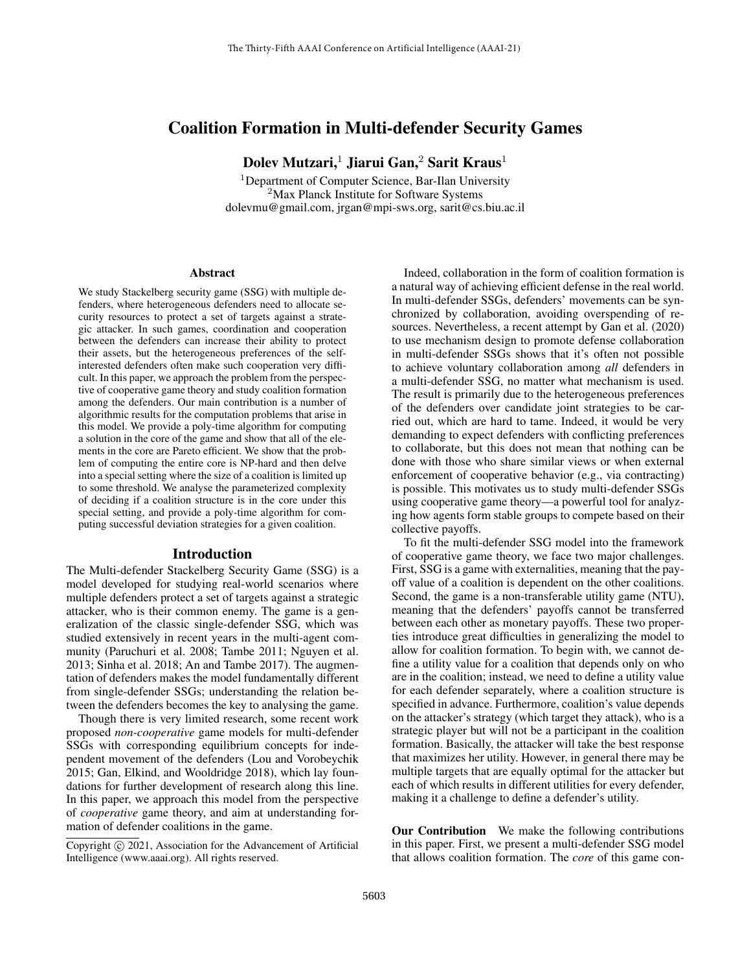## Coalition Formation in Multi-defender Security Games

Dolev Mutzari,<sup>1</sup> Jiarui Gan,<sup>2</sup> Sarit Kraus<sup>1</sup>

<sup>1</sup>Department of Computer Science, Bar-Ilan University <sup>2</sup>Max Planck Institute for Software Systems dolevmu@gmail.com, jrgan@mpi-sws.org, sarit@cs.biu.ac.il

#### Abstract

We study Stackelberg security game (SSG) with multiple defenders, where heterogeneous defenders need to allocate security resources to protect a set of targets against a strategic attacker. In such games, coordination and cooperation between the defenders can increase their ability to protect their assets, but the heterogeneous preferences of the selfinterested defenders often make such cooperation very difficult. In this paper, we approach the problem from the perspective of cooperative game theory and study coalition formation among the defenders. Our main contribution is a number of algorithmic results for the computation problems that arise in this model. We provide a poly-time algorithm for computing a solution in the core of the game and show that all of the elements in the core are Pareto efficient. We show that the problem of computing the entire core is NP-hard and then delve into a special setting where the size of a coalition is limited up to some threshold. We analyse the parameterized complexity of deciding if a coalition structure is in the core under this special setting, and provide a poly-time algorithm for computing successful deviation strategies for a given coalition.

### Introduction

The Multi-defender Stackelberg Security Game (SSG) is a model developed for studying real-world scenarios where multiple defenders protect a set of targets against a strategic attacker, who is their common enemy. The game is a generalization of the classic single-defender SSG, which was studied extensively in recent years in the multi-agent community (Paruchuri et al. 2008; Tambe 2011; Nguyen et al. 2013; Sinha et al. 2018; An and Tambe 2017). The augmentation of defenders makes the model fundamentally different from single-defender SSGs; understanding the relation between the defenders becomes the key to analysing the game.

Though there is very limited research, some recent work proposed *non-cooperative* game models for multi-defender SSGs with corresponding equilibrium concepts for independent movement of the defenders (Lou and Vorobeychik 2015; Gan, Elkind, and Wooldridge 2018), which lay foundations for further development of research along this line. In this paper, we approach this model from the perspective of *cooperative* game theory, and aim at understanding formation of defender coalitions in the game.

Indeed, collaboration in the form of coalition formation is a natural way of achieving efficient defense in the real world. In multi-defender SSGs, defenders' movements can be synchronized by collaboration, avoiding overspending of resources. Nevertheless, a recent attempt by Gan et al. (2020) to use mechanism design to promote defense collaboration in multi-defender SSGs shows that it's often not possible to achieve voluntary collaboration among *all* defenders in a multi-defender SSG, no matter what mechanism is used. The result is primarily due to the heterogeneous preferences of the defenders over candidate joint strategies to be carried out, which are hard to tame. Indeed, it would be very demanding to expect defenders with conflicting preferences to collaborate, but this does not mean that nothing can be done with those who share similar views or when external enforcement of cooperative behavior (e.g., via contracting) is possible. This motivates us to study multi-defender SSGs using cooperative game theory—a powerful tool for analyzing how agents form stable groups to compete based on their collective payoffs.

To fit the multi-defender SSG model into the framework of cooperative game theory, we face two major challenges. First, SSG is a game with externalities, meaning that the payoff value of a coalition is dependent on the other coalitions. Second, the game is a non-transferable utility game (NTU), meaning that the defenders' payoffs cannot be transferred between each other as monetary payoffs. These two properties introduce great difficulties in generalizing the model to allow for coalition formation. To begin with, we cannot define a utility value for a coalition that depends only on who are in the coalition; instead, we need to define a utility value for each defender separately, where a coalition structure is specified in advance. Furthermore, coalition's value depends on the attacker's strategy (which target they attack), who is a strategic player but will not be a participant in the coalition formation. Basically, the attacker will take the best response that maximizes her utility. However, in general there may be multiple targets that are equally optimal for the attacker but each of which results in different utilities for every defender, making it a challenge to define a defender's utility.

Our Contribution We make the following contributions in this paper. First, we present a multi-defender SSG model that allows coalition formation. The *core* of this game con-

Copyright  $\odot$  2021, Association for the Advancement of Artificial Intelligence (www.aaai.org). All rights reserved.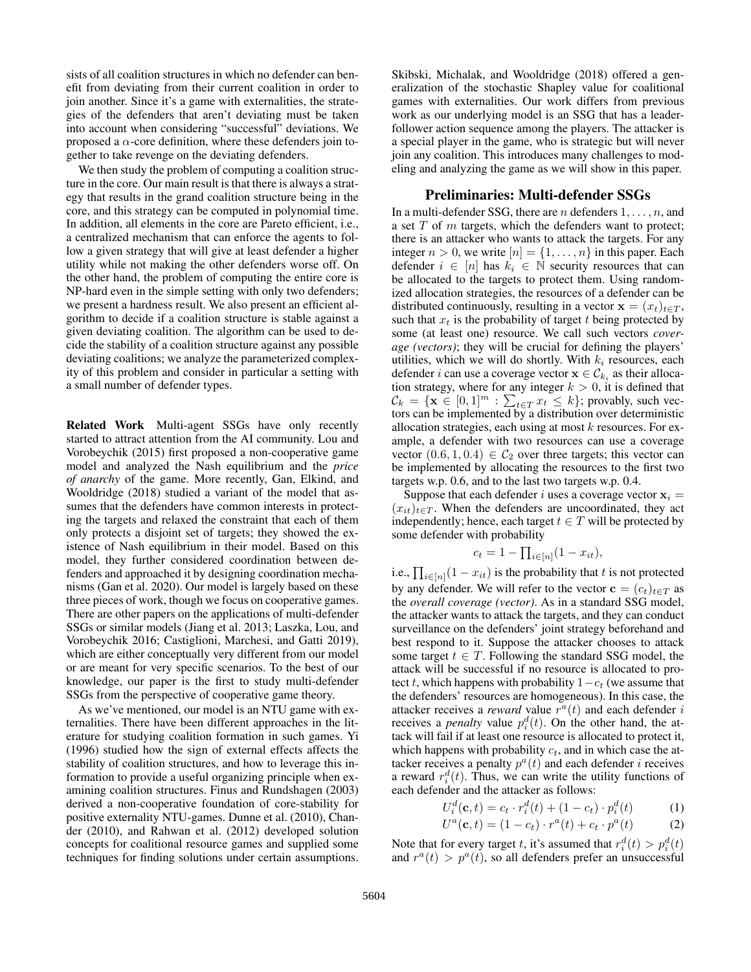sists of all coalition structures in which no defender can benefit from deviating from their current coalition in order to join another. Since it's a game with externalities, the strategies of the defenders that aren't deviating must be taken into account when considering "successful" deviations. We proposed a  $\alpha$ -core definition, where these defenders join together to take revenge on the deviating defenders.

We then study the problem of computing a coalition structure in the core. Our main result is that there is always a strategy that results in the grand coalition structure being in the core, and this strategy can be computed in polynomial time. In addition, all elements in the core are Pareto efficient, i.e., a centralized mechanism that can enforce the agents to follow a given strategy that will give at least defender a higher utility while not making the other defenders worse off. On the other hand, the problem of computing the entire core is NP-hard even in the simple setting with only two defenders; we present a hardness result. We also present an efficient algorithm to decide if a coalition structure is stable against a given deviating coalition. The algorithm can be used to decide the stability of a coalition structure against any possible deviating coalitions; we analyze the parameterized complexity of this problem and consider in particular a setting with a small number of defender types.

Related Work Multi-agent SSGs have only recently started to attract attention from the AI community. Lou and Vorobeychik (2015) first proposed a non-cooperative game model and analyzed the Nash equilibrium and the *price of anarchy* of the game. More recently, Gan, Elkind, and Wooldridge (2018) studied a variant of the model that assumes that the defenders have common interests in protecting the targets and relaxed the constraint that each of them only protects a disjoint set of targets; they showed the existence of Nash equilibrium in their model. Based on this model, they further considered coordination between defenders and approached it by designing coordination mechanisms (Gan et al. 2020). Our model is largely based on these three pieces of work, though we focus on cooperative games. There are other papers on the applications of multi-defender SSGs or similar models (Jiang et al. 2013; Laszka, Lou, and Vorobeychik 2016; Castiglioni, Marchesi, and Gatti 2019), which are either conceptually very different from our model or are meant for very specific scenarios. To the best of our knowledge, our paper is the first to study multi-defender SSGs from the perspective of cooperative game theory.

As we've mentioned, our model is an NTU game with externalities. There have been different approaches in the literature for studying coalition formation in such games. Yi (1996) studied how the sign of external effects affects the stability of coalition structures, and how to leverage this information to provide a useful organizing principle when examining coalition structures. Finus and Rundshagen (2003) derived a non-cooperative foundation of core-stability for positive externality NTU-games. Dunne et al. (2010), Chander (2010), and Rahwan et al. (2012) developed solution concepts for coalitional resource games and supplied some techniques for finding solutions under certain assumptions.

Skibski, Michalak, and Wooldridge (2018) offered a generalization of the stochastic Shapley value for coalitional games with externalities. Our work differs from previous work as our underlying model is an SSG that has a leaderfollower action sequence among the players. The attacker is a special player in the game, who is strategic but will never join any coalition. This introduces many challenges to modeling and analyzing the game as we will show in this paper.

### Preliminaries: Multi-defender SSGs

In a multi-defender SSG, there are *n* defenders  $1, \ldots, n$ , and a set  $T$  of  $m$  targets, which the defenders want to protect; there is an attacker who wants to attack the targets. For any integer  $n > 0$ , we write  $[n] = \{1, \ldots, n\}$  in this paper. Each defender  $i \in [n]$  has  $k_i \in \mathbb{N}$  security resources that can be allocated to the targets to protect them. Using randomized allocation strategies, the resources of a defender can be distributed continuously, resulting in a vector  $\mathbf{x} = (x_t)_{t \in T}$ , such that  $x_t$  is the probability of target t being protected by some (at least one) resource. We call such vectors *coverage (vectors)*; they will be crucial for defining the players' utilities, which we will do shortly. With  $k_i$  resources, each defender *i* can use a coverage vector  $\mathbf{x} \in \mathcal{C}_{k_i}$  as their allocation strategy, where for any integer  $k > 0$ , it is defined that  $\mathcal{C}_k = \{ \mathbf{x} \in [0,1]^m : \sum_{t \in T} x_t \leq k \}$ ; provably, such vectors can be implemented by a distribution over deterministic allocation strategies, each using at most  $k$  resources. For example, a defender with two resources can use a coverage vector  $(0.6, 1, 0.4) \in C_2$  over three targets; this vector can be implemented by allocating the resources to the first two targets w.p. 0.6, and to the last two targets w.p. 0.4.

Suppose that each defender i uses a coverage vector  $x_i =$  $(x_{it})_{t\in\mathcal{T}}$ . When the defenders are uncoordinated, they act independently; hence, each target  $t \in T$  will be protected by some defender with probability

$$
c_t = 1 - \prod_{i \in [n]} (1 - x_{it}),
$$

i.e.,  $\prod_{i \in [n]} (1 - x_{it})$  is the probability that t is not protected by any defender. We will refer to the vector  $\mathbf{c} = (c_t)_{t \in \mathcal{T}}$  as the *overall coverage (vector)*. As in a standard SSG model, the attacker wants to attack the targets, and they can conduct surveillance on the defenders' joint strategy beforehand and best respond to it. Suppose the attacker chooses to attack some target  $t \in T$ . Following the standard SSG model, the attack will be successful if no resource is allocated to protect t, which happens with probability  $1-c_t$  (we assume that the defenders' resources are homogeneous). In this case, the attacker receives a *reward* value  $r^a(t)$  and each defender i receives a *penalty* value  $p_i^d(t)$ . On the other hand, the attack will fail if at least one resource is allocated to protect it, which happens with probability  $c_t$ , and in which case the attacker receives a penalty  $p^a(t)$  and each defender *i* receives a reward  $r_i^d(t)$ . Thus, we can write the utility functions of each defender and the attacker as follows:

$$
U_i^d(\mathbf{c}, t) = c_t \cdot r_i^d(t) + (1 - c_t) \cdot p_i^d(t) \tag{1}
$$

$$
U^{a}(\mathbf{c},t) = (1 - c_{t}) \cdot r^{a}(t) + c_{t} \cdot p^{a}(t) \tag{2}
$$

Note that for every target t, it's assumed that  $r_i^d(t) > p_i^d(t)$ and  $r^{a}(t) > p^{a}(t)$ , so all defenders prefer an unsuccessful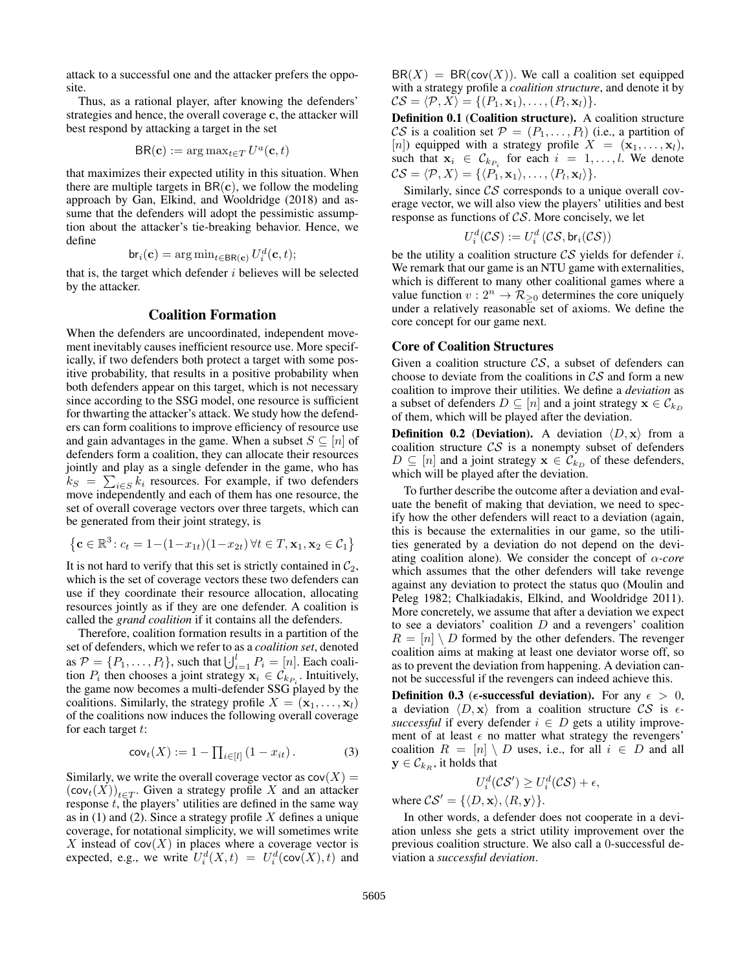attack to a successful one and the attacker prefers the opposite.

Thus, as a rational player, after knowing the defenders' strategies and hence, the overall coverage c, the attacker will best respond by attacking a target in the set

$$
BR(\mathbf{c}) := \arg \max_{t \in T} U^a(\mathbf{c}, t)
$$

that maximizes their expected utility in this situation. When there are multiple targets in  $BR(c)$ , we follow the modeling approach by Gan, Elkind, and Wooldridge (2018) and assume that the defenders will adopt the pessimistic assumption about the attacker's tie-breaking behavior. Hence, we define

$$
\mathsf{br}_i(\mathbf{c}) = \arg\min_{t \in \mathsf{BR}(\mathbf{c})} U_i^d(\mathbf{c}, t);
$$

that is, the target which defender  $i$  believes will be selected by the attacker.

### Coalition Formation

When the defenders are uncoordinated, independent movement inevitably causes inefficient resource use. More specifically, if two defenders both protect a target with some positive probability, that results in a positive probability when both defenders appear on this target, which is not necessary since according to the SSG model, one resource is sufficient for thwarting the attacker's attack. We study how the defenders can form coalitions to improve efficiency of resource use and gain advantages in the game. When a subset  $S \subseteq [n]$  of defenders form a coalition, they can allocate their resources jointly and play as a single defender in the game, who has  $k_S = \sum_{i \in S} k_i$  resources. For example, if two defenders move independently and each of them has one resource, the set of overall coverage vectors over three targets, which can be generated from their joint strategy, is

$$
\left\{\mathbf{c} \in \mathbb{R}^3 \colon c_t = 1 - (1 - x_{1t})(1 - x_{2t}) \, \forall t \in T, \mathbf{x}_1, \mathbf{x}_2 \in \mathcal{C}_1 \right\}
$$

It is not hard to verify that this set is strictly contained in  $C_2$ , which is the set of coverage vectors these two defenders can use if they coordinate their resource allocation, allocating resources jointly as if they are one defender. A coalition is called the *grand coalition* if it contains all the defenders.

Therefore, coalition formation results in a partition of the set of defenders, which we refer to as a *coalition set*, denoted as  $P = \{P_1, \ldots, P_l\}$ , such that  $\bigcup_{i=1}^l P_i = [n]$ . Each coalition  $P_i$  then chooses a joint strategy  $\mathbf{x}_i \in C_{k_{P_i}}$ . Intuitively, the game now becomes a multi-defender SSG played by the coalitions. Similarly, the strategy profile  $X = (\mathbf{x}_1, \dots, \mathbf{x}_l)$ of the coalitions now induces the following overall coverage for each target  $t$ :

$$
cov_t(X) := 1 - \prod_{i \in [l]} (1 - x_{it}). \tag{3}
$$

Similarly, we write the overall coverage vector as  $cov(X) =$  $(\text{cov}_t(X))_{t\in T}$ . Given a strategy profile X and an attacker response  $t$ , the players' utilities are defined in the same way as in  $(1)$  and  $(2)$ . Since a strategy profile X defines a unique coverage, for notational simplicity, we will sometimes write X instead of  $cov(X)$  in places where a coverage vector is expected, e.g., we write  $U_i^d(X,t) = U_i^d(\text{cov}(X),t)$  and

 $BR(X) = BR(cov(X))$ . We call a coalition set equipped with a strategy profile a *coalition structure*, and denote it by  $CS = \langle \mathcal{P}, X \rangle = \{ (P_1, \mathbf{x}_1), \ldots, (P_l, \mathbf{x}_l) \}.$ 

Definition 0.1 (Coalition structure). A coalition structure CS is a coalition set  $\mathcal{P} = (P_1, \ldots, P_l)$  (i.e., a partition of [n]) equipped with a strategy profile  $X = (\mathbf{x}_1, \dots, \mathbf{x}_l)$ , such that  $x_i \in \mathcal{C}_{k_{P_i}}$  for each  $i = 1, \ldots, l$ . We denote  $\mathcal{CS} = \langle \mathcal{P}, X \rangle = \{ \langle P_1, \mathbf{x}_1 \rangle, \dots, \langle P_l, \mathbf{x}_l \rangle \}.$ 

Similarly, since CS corresponds to a unique overall coverage vector, we will also view the players' utilities and best response as functions of CS. More concisely, we let

$$
U_i^d(\mathcal{CS}):=U_i^d\left(\mathcal{CS},\mathsf{br}_i(\mathcal{CS})\right)
$$

be the utility a coalition structure  $\mathcal{CS}$  yields for defender i. We remark that our game is an NTU game with externalities, which is different to many other coalitional games where a value function  $v: 2^n \to \mathcal{R}_{\geq 0}$  determines the core uniquely under a relatively reasonable set of axioms. We define the core concept for our game next.

#### Core of Coalition Structures

Given a coalition structure  $\mathcal{CS}$ , a subset of defenders can choose to deviate from the coalitions in  $\mathcal{CS}$  and form a new coalition to improve their utilities. We define a *deviation* as a subset of defenders  $D \subseteq [n]$  and a joint strategy  $\mathbf{x} \in \mathcal{C}_{k_D}$ of them, which will be played after the deviation.

**Definition 0.2 (Deviation).** A deviation  $\langle D, x \rangle$  from a coalition structure  $\mathcal{CS}$  is a nonempty subset of defenders  $D \subseteq [n]$  and a joint strategy  $\mathbf{x} \in C_{k_D}$  of these defenders, which will be played after the deviation.

To further describe the outcome after a deviation and evaluate the benefit of making that deviation, we need to specify how the other defenders will react to a deviation (again, this is because the externalities in our game, so the utilities generated by a deviation do not depend on the deviating coalition alone). We consider the concept of  $\alpha$ -core which assumes that the other defenders will take revenge against any deviation to protect the status quo (Moulin and Peleg 1982; Chalkiadakis, Elkind, and Wooldridge 2011). More concretely, we assume that after a deviation we expect to see a deviators' coalition  $D$  and a revengers' coalition  $R = [n] \setminus D$  formed by the other defenders. The revenger coalition aims at making at least one deviator worse off, so as to prevent the deviation from happening. A deviation cannot be successful if the revengers can indeed achieve this.

**Definition 0.3** ( $\epsilon$ **-successful deviation**). For any  $\epsilon > 0$ , a deviation  $\langle D, \mathbf{x} \rangle$  from a coalition structure CS is  $\epsilon$ *successful* if every defender  $i \in D$  gets a utility improvement of at least  $\epsilon$  no matter what strategy the revengers' coalition  $R = [n] \setminus D$  uses, i.e., for all  $i \in D$  and all  $y \in \mathcal{C}_{k_R}$ , it holds that

$$
U_i^d(\mathcal{CS}') \geq U_i^d(\mathcal{CS}) + \epsilon,
$$

where  $CS' = {\langle D, \mathbf{x} \rangle, \langle R, \mathbf{y} \rangle}.$ 

In other words, a defender does not cooperate in a deviation unless she gets a strict utility improvement over the previous coalition structure. We also call a 0-successful deviation a *successful deviation*.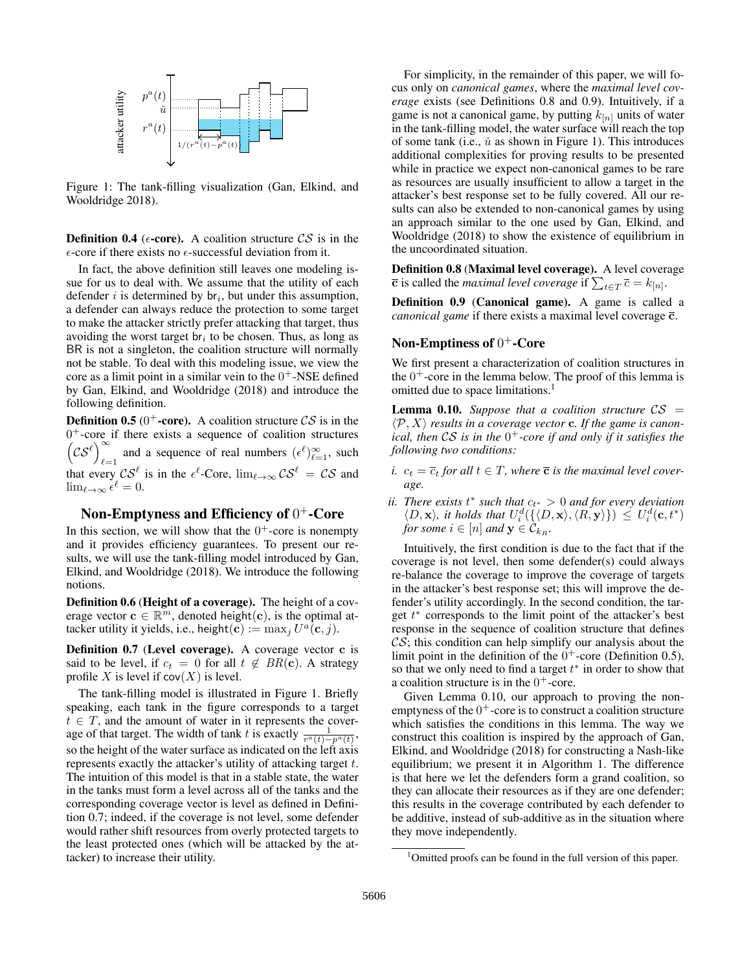

Figure 1: The tank-filling visualization (Gan, Elkind, and Wooldridge 2018).

**Definition 0.4** ( $\epsilon$ -core). A coalition structure CS is in the  $\epsilon$ -core if there exists no  $\epsilon$ -successful deviation from it.

In fact, the above definition still leaves one modeling issue for us to deal with. We assume that the utility of each defender  $i$  is determined by  $\mathsf{br}_i$ , but under this assumption, a defender can always reduce the protection to some target to make the attacker strictly prefer attacking that target, thus avoiding the worst target  $\mathsf{br}_i$  to be chosen. Thus, as long as BR is not a singleton, the coalition structure will normally not be stable. To deal with this modeling issue, we view the core as a limit point in a similar vein to the  $0^+$ -NSE defined by Gan, Elkind, and Wooldridge (2018) and introduce the following definition.

**Definition 0.5** (0<sup>+</sup>-core). A coalition structure  $\mathcal{CS}$  is in the 0 <sup>+</sup>-core if there exists a sequence of coalition structures  $(c s^{\ell})^{\infty}$ and a sequence of real numbers  $(\epsilon^{\ell})_{\ell=1}^{\infty}$ , such that every  $\mathcal{CS}^{\ell}$  is in the  $\epsilon^{\ell}$ -Core,  $\lim_{\ell \to \infty} \mathcal{CS}^{\ell} = \mathcal{CS}$  and  $\lim_{\ell \to \infty} \epsilon^{\ell} = 0.$ 

# Non-Emptyness and Efficiency of  $0^+$ -Core

In this section, we will show that the  $0^+$ -core is nonempty and it provides efficiency guarantees. To present our results, we will use the tank-filling model introduced by Gan, Elkind, and Wooldridge (2018). We introduce the following notions.

Definition 0.6 (Height of a coverage). The height of a coverage vector  $\mathbf{c} \in \mathbb{R}^m$ , denoted height $(\mathbf{c})$ , is the optimal attacker utility it yields, i.e., height $(\mathbf{c}):=\max_{j}U^a(\mathbf{c},j).$ 

Definition 0.7 (Level coverage). A coverage vector c is said to be level, if  $c_t = 0$  for all  $t \notin BR(c)$ . A strategy profile X is level if  $cov(X)$  is level.

The tank-filling model is illustrated in Figure 1. Briefly speaking, each tank in the figure corresponds to a target  $t \in T$ , and the amount of water in it represents the coverage of that target. The width of tank t is exactly  $\frac{1}{r^a(t)-p^a(t)}$ , so the height of the water surface as indicated on the left axis represents exactly the attacker's utility of attacking target t. The intuition of this model is that in a stable state, the water in the tanks must form a level across all of the tanks and the corresponding coverage vector is level as defined in Definition 0.7; indeed, if the coverage is not level, some defender would rather shift resources from overly protected targets to the least protected ones (which will be attacked by the attacker) to increase their utility.

For simplicity, in the remainder of this paper, we will focus only on *canonical games*, where the *maximal level coverage* exists (see Definitions 0.8 and 0.9). Intuitively, if a game is not a canonical game, by putting  $k_{[n]}$  units of water in the tank-filling model, the water surface will reach the top of some tank (i.e.,  $\check{u}$  as shown in Figure 1). This introduces additional complexities for proving results to be presented while in practice we expect non-canonical games to be rare as resources are usually insufficient to allow a target in the attacker's best response set to be fully covered. All our results can also be extended to non-canonical games by using an approach similar to the one used by Gan, Elkind, and Wooldridge (2018) to show the existence of equilibrium in the uncoordinated situation.

Definition 0.8 (Maximal level coverage). A level coverage  $\overline{\mathbf{c}}$  is called the *maximal level coverage* if  $\sum_{t\in T}\overline{c}=k_{[n]}.$ 

Definition 0.9 (Canonical game). A game is called a *canonical game* if there exists a maximal level coverage  $\bar{c}$ .

## Non-Emptiness of  $0^+$ -Core

We first present a characterization of coalition structures in the  $0^+$ -core in the lemma below. The proof of this lemma is omitted due to space limitations.<sup>1</sup>

**Lemma 0.10.** Suppose that a coalition structure  $CS =$  $\langle \mathcal{P}, X \rangle$  *results in a coverage vector* **c**. If the game is canon*ical, then* CS *is in the* 0 <sup>+</sup>*-core if and only if it satisfies the following two conditions:*

- *i.*  $c_t = \overline{c}_t$  *for all*  $t \in T$ *, where*  $\overline{c}$  *is the maximal level coverage.*
- *ii. There exists*  $t^*$  *such that*  $c_{t^*} > 0$  *and for every deviation*  $\langle D, \mathbf{x} \rangle$ , it holds that  $U_i^d(\{\langle D, \mathbf{x} \rangle, \langle R, \mathbf{y} \rangle\}) \leq U_i^d(\mathbf{c}, t^*)$ *for some*  $i \in [n]$  *and*  $\mathbf{y} \in C_{k_R}$ *.*

Intuitively, the first condition is due to the fact that if the coverage is not level, then some defender(s) could always re-balance the coverage to improve the coverage of targets in the attacker's best response set; this will improve the defender's utility accordingly. In the second condition, the target  $t^*$  corresponds to the limit point of the attacker's best response in the sequence of coalition structure that defines  $\mathcal{CS}$ ; this condition can help simplify our analysis about the limit point in the definition of the  $0^+$ -core (Definition 0.5), so that we only need to find a target  $t^*$  in order to show that a coalition structure is in the  $0^+$ -core.

Given Lemma 0.10, our approach to proving the nonemptyness of the  $0<sup>+</sup>$ -core is to construct a coalition structure which satisfies the conditions in this lemma. The way we construct this coalition is inspired by the approach of Gan, Elkind, and Wooldridge (2018) for constructing a Nash-like equilibrium; we present it in Algorithm 1. The difference is that here we let the defenders form a grand coalition, so they can allocate their resources as if they are one defender; this results in the coverage contributed by each defender to be additive, instead of sub-additive as in the situation where they move independently.

<sup>&</sup>lt;sup>1</sup>Omitted proofs can be found in the full version of this paper.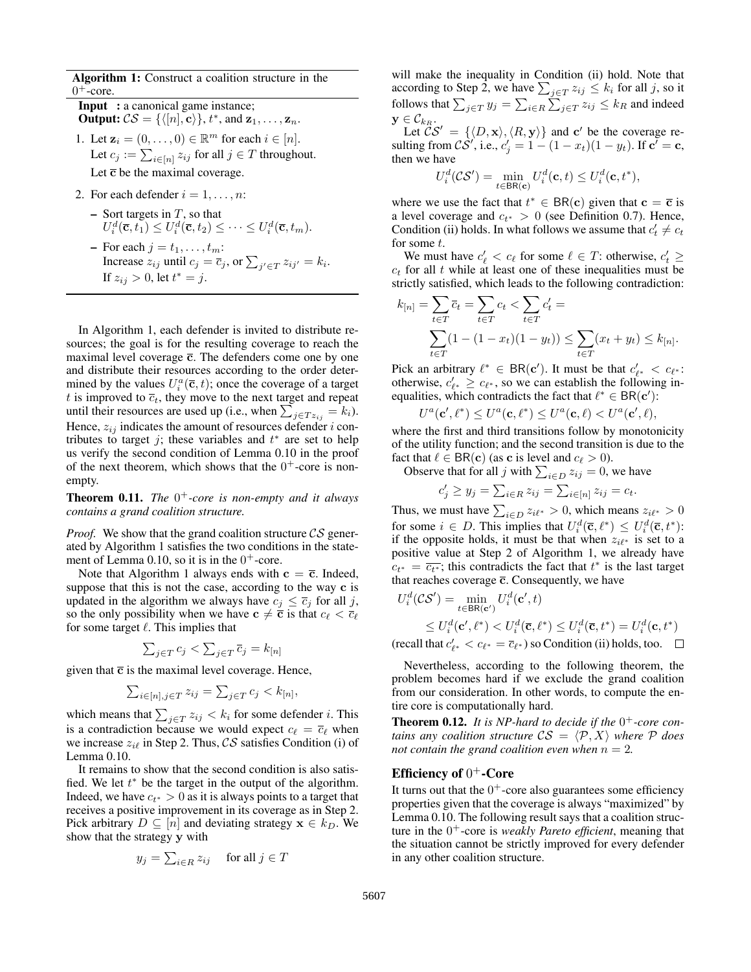Algorithm 1: Construct a coalition structure in the  $0<sup>+</sup>$ -core.

- Input : a canonical game instance; **Output:**  $CS = \{([n], \mathbf{c})\}, t^*$ , and  $\mathbf{z}_1, \ldots, \mathbf{z}_n$ .
- 1. Let  $\mathbf{z}_i = (0, \dots, 0) \in \mathbb{R}^m$  for each  $i \in [n]$ . Let  $c_j := \sum_{i \in [n]} z_{ij}$  for all  $j \in T$  throughout. Let  $\bar{c}$  be the maximal coverage.
- 2. For each defender  $i = 1, \ldots, n$ :
	- $-$  Sort targets in  $T$ , so that  $U_i^d(\overline{\mathbf{c}}, \overline{t_1}) \leq U_i^d(\overline{\mathbf{c}}, t_2) \leq \cdots \leq U_i^d(\overline{\mathbf{c}}, t_m).$
	- For each  $j = t_1, \ldots, t_m$ : Increase  $z_{ij}$  until  $c_j = \overline{c}_j$ , or  $\sum_{j' \in T} z_{ij'} = k_i$ . If  $z_{ij} > 0$ , let  $t^* = j$ .

In Algorithm 1, each defender is invited to distribute resources; the goal is for the resulting coverage to reach the maximal level coverage  $\bar{c}$ . The defenders come one by one and distribute their resources according to the order determined by the values  $U_i^a(\overline{c}, t)$ ; once the coverage of a target t is improved to  $\overline{c}_t$ , they move to the next target and repeat until their resources are used up (i.e., when  $\sum_{j \in T z_{ij}} = k_i$ ). Hence,  $z_{ij}$  indicates the amount of resources defender i contributes to target j; these variables and  $t^*$  are set to help us verify the second condition of Lemma 0.10 in the proof of the next theorem, which shows that the  $0^+$ -core is nonempty.

Theorem 0.11. *The* 0 <sup>+</sup>*-core is non-empty and it always contains a grand coalition structure.*

*Proof.* We show that the grand coalition structure  $CS$  generated by Algorithm 1 satisfies the two conditions in the statement of Lemma 0.10, so it is in the  $0^+$ -core.

Note that Algorithm 1 always ends with  $c = \overline{c}$ . Indeed, suppose that this is not the case, according to the way c is updated in the algorithm we always have  $c_j \leq \overline{c}_j$  for all j, so the only possibility when we have  $c \neq \overline{c}$  is that  $c_\ell < \overline{c}_\ell$ for some target  $\ell$ . This implies that

$$
\sum_{j \in T} c_j < \sum_{j \in T} \overline{c}_j = k_{[n]}
$$

given that  $\bar{c}$  is the maximal level coverage. Hence,

$$
\sum_{i\in[n],j\in T} z_{ij} = \sum_{j\in T} c_j < k_{[n]},
$$

which means that  $\sum_{j \in T} z_{ij} < k_i$  for some defender *i*. This is a contradiction because we would expect  $c_\ell = \overline{c}_\ell$  when we increase  $z_{i\ell}$  in Step 2. Thus,  $\mathcal{CS}$  satisfies Condition (i) of Lemma 0.10.

It remains to show that the second condition is also satisfied. We let  $t^*$  be the target in the output of the algorithm. Indeed, we have  $c_{t^*} > 0$  as it is always points to a target that receives a positive improvement in its coverage as in Step 2. Pick arbitrary  $D \subseteq [n]$  and deviating strategy  $\mathbf{x} \in k_D$ . We show that the strategy y with

$$
y_j = \sum_{i \in R} z_{ij} \quad \text{ for all } j \in T
$$

will make the inequality in Condition (ii) hold. Note that according to Step 2, we have  $\sum_{j \in T} z_{ij} \leq k_i$  for all j, so it follows that  $\sum_{j \in T} y_j = \sum_{i \in R} \sum_{j \in T} z_{ij} \le k_R$  and indeed  $\mathbf{y} \in \mathcal{C}_{k_R}.$ 

Let  $\mathcal{CS}' = {\langle \langle D, \mathbf{x} \rangle, \langle R, \mathbf{y} \rangle \}$  and c' be the coverage resulting from  $\mathcal{CS}'$ , i.e.,  $c'_j = 1 - (1 - x_t)(1 - y_t)$ . If  $\mathbf{c}' = \mathbf{c}$ , then we have

$$
U_i^d(\mathcal{CS}') = \min_{t \in \mathsf{BR}(\mathbf{c})} U_i^d(\mathbf{c}, t) \le U_i^d(\mathbf{c}, t^*),
$$

where we use the fact that  $t^* \in BR(c)$  given that  $c = \overline{c}$  is a level coverage and  $c_{t^*} > 0$  (see Definition 0.7). Hence, Condition (ii) holds. In what follows we assume that  $c_t \neq c_t$ for some t.

We must have  $c'_\ell < c_\ell$  for some  $\ell \in T$ : otherwise,  $c'_t \geq$  $c_t$  for all t while at least one of these inequalities must be strictly satisfied, which leads to the following contradiction:

$$
k_{[n]} = \sum_{t \in T} \overline{c}_t = \sum_{t \in T} c_t < \sum_{t \in T} c'_t = \sum_{t \in T} (1 - (1 - x_t)(1 - y_t)) \le \sum_{t \in T} (x_t + y_t) \le k_{[n]}.
$$

Pick an arbitrary  $\ell^* \in BR(c')$ . It must be that  $c'_{\ell^*} < c_{\ell^*}$ : otherwise,  $c'_{\ell^*} \geq c_{\ell^*}$ , so we can establish the following inequalities, which contradicts the fact that  $\ell^* \in BR(c')$ :

$$
U^a(\mathbf{c}', \ell^*) \leq U^a(\mathbf{c}, \ell^*) \leq U^a(\mathbf{c}, \ell) < U^a(\mathbf{c}', \ell),
$$

where the first and third transitions follow by monotonicity of the utility function; and the second transition is due to the fact that  $\ell \in BR(c)$  (as c is level and  $c_{\ell} > 0$ ).

Observe that for all j with  $\sum_{i \in D} z_{ij} = 0$ , we have

$$
c'_j \ge y_j = \sum_{i \in R} z_{ij} = \sum_{i \in [n]} z_{ij} = c_t.
$$

Thus, we must have  $\sum_{i \in D} z_{i\ell^*} > 0$ , which means  $z_{i\ell^*} > 0$ for some  $i \in D$ . This implies that  $U_i^d(\overline{c}, \ell^*) \leq U_i^d(\overline{c}, t^*)$ : if the opposite holds, it must be that when  $z_{i\ell^*}$  is set to a positive value at Step 2 of Algorithm 1, we already have  $c_{t^*} = \overline{c_{t^*}}$ ; this contradicts the fact that  $t^*$  is the last target that reaches coverage  $\overline{c}$ . Consequently, we have

$$
U_i^d(\mathcal{CS}') = \min_{t \in \mathsf{BR}(\mathbf{c}')} U_i^d(\mathbf{c}', t)
$$
  
\n
$$
\leq U_i^d(\mathbf{c}', \ell^*) < U_i^d(\overline{\mathbf{c}}, \ell^*) \leq U_i^d(\overline{\mathbf{c}}, t^*) = U_i^d(\mathbf{c}, t^*)
$$
  
\n(recall that  $c'_{\ell^*} < c_{\ell^*} = \overline{c}_{\ell^*}$ ) so Condition (ii) holds, too.

Nevertheless, according to the following theorem, the problem becomes hard if we exclude the grand coalition from our consideration. In other words, to compute the entire core is computationally hard.

Theorem 0.12. *It is NP-hard to decide if the* 0 <sup>+</sup>*-core contains any coalition structure*  $CS = \langle P, X \rangle$  *where* P *does not contain the grand coalition even when*  $n = 2$ .

## Efficiency of  $0^+$ -Core

It turns out that the  $0^+$ -core also guarantees some efficiency properties given that the coverage is always "maximized" by Lemma 0.10. The following result says that a coalition structure in the 0 <sup>+</sup>-core is *weakly Pareto efficient*, meaning that the situation cannot be strictly improved for every defender in any other coalition structure.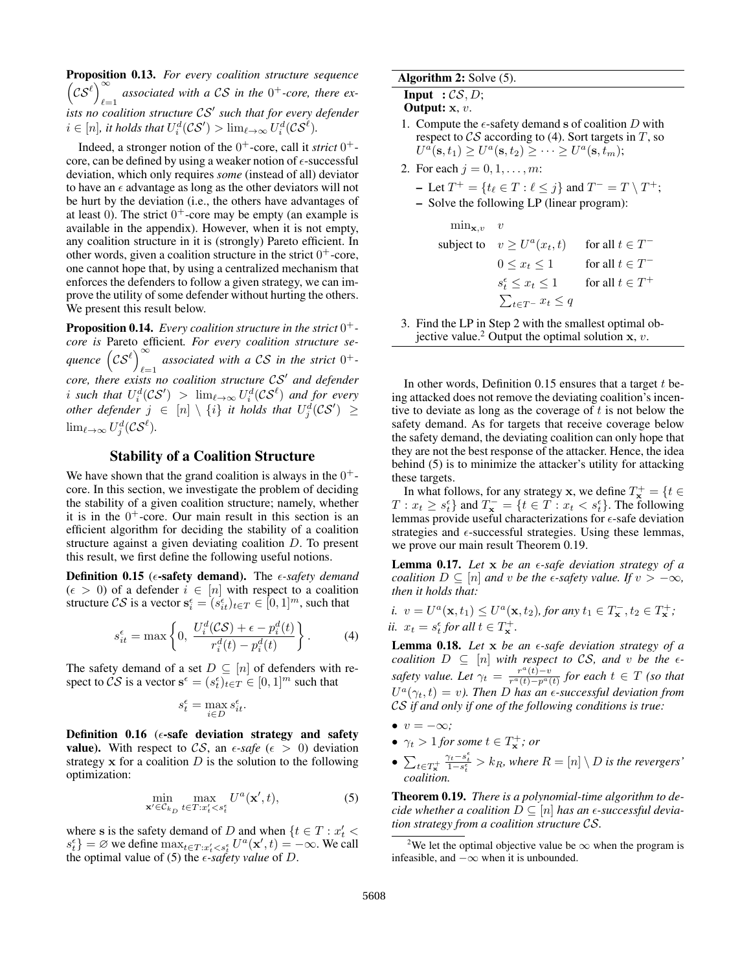Proposition 0.13. *For every coalition structure sequence*  $(cS^{\ell})^{\infty}$  associated with a CS in the 0<sup>+</sup>-core, there ex-\\timesi<sub>2</sub> \timesim / left in that for every defender in that for every defender  $i \in [n]$ , it holds that  $U_i^d(\mathcal{CS}') > \lim_{\ell \to \infty} U_i^d(\mathcal{CS}^\ell)$ .

Indeed, a stronger notion of the  $0^+$ -core, call it *strict*  $0^+$ core, can be defined by using a weaker notion of  $\epsilon$ -successful deviation, which only requires *some* (instead of all) deviator to have an  $\epsilon$  advantage as long as the other deviators will not be hurt by the deviation (i.e., the others have advantages of at least 0). The strict  $0^+$ -core may be empty (an example is available in the appendix). However, when it is not empty, any coalition structure in it is (strongly) Pareto efficient. In other words, given a coalition structure in the strict  $0^+$ -core, one cannot hope that, by using a centralized mechanism that enforces the defenders to follow a given strategy, we can improve the utility of some defender without hurting the others. We present this result below.

Proposition 0.14. *Every coalition structure in the strict* 0 + *core is* Pareto efficient*. For every coalition structure se*quence  $\bigl(\mathcal{CS}^\ell\bigr)^\infty$ *e*<sub> $l=1$ </sub> associated with a CS in the strict  $0^+$ core, there exists no coalition structure  $CS'$  and defender i such that  $U_i^d(\mathcal{CS}') > \lim_{\ell \to \infty} U_i^d(\mathcal{CS}^{\ell})$  and for every  $\emph{other}$  *defender*  $j \in [n] \setminus \{i\}$  *it holds that*  $U_j^d(\mathcal{CS}') \geq 0$  $\lim_{\ell \to \infty} U_j^d$ ( $\mathcal{CS}^{\ell}$ ).

## Stability of a Coalition Structure

We have shown that the grand coalition is always in the  $0^+$ core. In this section, we investigate the problem of deciding the stability of a given coalition structure; namely, whether it is in the  $0^+$ -core. Our main result in this section is an efficient algorithm for deciding the stability of a coalition structure against a given deviating coalition D. To present this result, we first define the following useful notions.

**Definition 0.15** ( $\epsilon$ -safety demand). The  $\epsilon$ -safety demand  $(\epsilon > 0)$  of a defender  $i \in [n]$  with respect to a coalition structure CS is a vector  $\mathbf{s}_{i}^{\epsilon} = (s_{it}^{\epsilon})_{t \in T} \in [0, 1]^{m}$ , such that

$$
s_{it}^{\epsilon} = \max\left\{0, \frac{U_i^d(\mathcal{CS}) + \epsilon - p_i^d(t)}{r_i^d(t) - p_i^d(t)}\right\}.
$$
 (4)

The safety demand of a set  $D \subseteq [n]$  of defenders with respect to  $\mathcal{CS}$  is a vector  $\mathbf{s}^{\epsilon} = (s_t^{\epsilon})_{t \in T} \in [0,1]^m$  such that

$$
s_t^{\epsilon} = \max_{i \in D} s_{it}^{\epsilon}.
$$

Definition 0.16 ( $\epsilon$ -safe deviation strategy and safety **value).** With respect to CS, an  $\epsilon$ -safe ( $\epsilon > 0$ ) deviation strategy  $x$  for a coalition  $D$  is the solution to the following optimization:

$$
\min_{\mathbf{x}' \in \mathcal{C}_{k_D}} \max_{t \in T: x'_t < s_t^\epsilon} U^a(\mathbf{x}', t),\tag{5}
$$

where s is the safety demand of D and when  $\{t \in T : x_t' <$  $s_t^{\epsilon}$ } = ∅ we define  $\max_{t \in T: x_t' < s_t^{\epsilon}} U^a(\mathbf{x}', t) = -\infty$ . We call the optimal value of (5) the  $\epsilon$ -safety value of D.

### Algorithm 2: Solve (5).

**Input** :  $CS, D$ ;

- Output: x, v.
- 1. Compute the  $\epsilon$ -safety demand s of coalition D with respect to  $\mathcal{CS}$  according to (4). Sort targets in T, so  $U^a({\bf s},t_1)\geq U^a({\bf s},t_2)\geq \cdots \geq U^a({\bf s},t_m);$
- 2. For each  $j = 0, 1, ..., m$ :

- Let 
$$
T^+ = \{t_\ell \in T : \ell \leq j\}
$$
 and  $T^- = T \setminus T^+$ ;  
- Solve the following LP (linear program):

$$
\begin{aligned}\n\min_{\mathbf{x}, v} & v \\
\text{subject to} & v \ge U^a(x_t, t) \qquad \text{for all } t \in T^- \\
& 0 \le x_t \le 1 \qquad \text{for all } t \in T^- \\
& s_t^\epsilon \le x_t \le 1 \qquad \text{for all } t \in T^+ \\
& \sum_{t \in T^-} x_t \le q\n\end{aligned}
$$

3. Find the LP in Step 2 with the smallest optimal objective value.<sup>2</sup> Output the optimal solution  $x, v$ .

In other words, Definition  $0.15$  ensures that a target t being attacked does not remove the deviating coalition's incentive to deviate as long as the coverage of  $t$  is not below the safety demand. As for targets that receive coverage below the safety demand, the deviating coalition can only hope that they are not the best response of the attacker. Hence, the idea behind (5) is to minimize the attacker's utility for attacking these targets.

In what follows, for any strategy **x**, we define  $T_{\mathbf{x}}^{+} = \{t \in$  $T: x_t \geq s_t^{\epsilon}$  and  $T_{\mathbf{x}}^- = \{t \in T : x_t < s_t^{\epsilon}\}\)$ . The following lemmas provide useful characterizations for  $\epsilon$ -safe deviation strategies and  $\epsilon$ -successful strategies. Using these lemmas, we prove our main result Theorem 0.19.

Lemma 0.17. *Let* x *be an -safe deviation strategy of a coalition*  $D \subseteq [n]$  *and* v *be the*  $\epsilon$ *-safety value. If*  $v > -\infty$ *, then it holds that:*

*i.*  $v = U^a(\mathbf{x}, t_1) \leq U^a(\mathbf{x}, t_2)$ , for any  $t_1 \in T_\mathbf{x}^-$ ,  $t_2 \in T_\mathbf{x}^+$ ; *ii.*  $x_t = s_t^{\epsilon}$  for all  $t \in T_{\mathbf{x}}^+$ .

Lemma 0.18. *Let* x *be an -safe deviation strategy of a coalition*  $D \subseteq [n]$  *with respect to CS, and v be the*  $\epsilon$ *safety value. Let*  $\gamma_t = \frac{r^a(t)-v}{r^a(t)-v^a(t)}$  $\frac{r^-(t)-v}{r^a(t)-p^a(t)}$  *for each*  $t \in T$  *(so that*  $U^a(\gamma_t,t) = v$ ). Then D has an  $\epsilon$ -successful deviation from CS *if and only if one of the following conditions is true:*

- $v = -\infty$ ;
- $\gamma_t > 1$  for some  $t \in T^+_{\mathbf{x}}$ ; or
- $\bullet$   $\sum_{t\in T^{+}_{\mathbf{x}}}$  $\frac{\gamma_t - s_t^{\epsilon}}{1 - s_t^{\epsilon}}$  >  $k_R$ , where  $R = [n] \setminus D$  is the revergers' *coalition.*

Theorem 0.19. *There is a polynomial-time algorithm to decide whether a coalition*  $D \subseteq [n]$  *has an*  $\epsilon$ *-successful deviation strategy from a coalition structure* CS*.*

<sup>&</sup>lt;sup>2</sup>We let the optimal objective value be  $\infty$  when the program is infeasible, and  $-\infty$  when it is unbounded.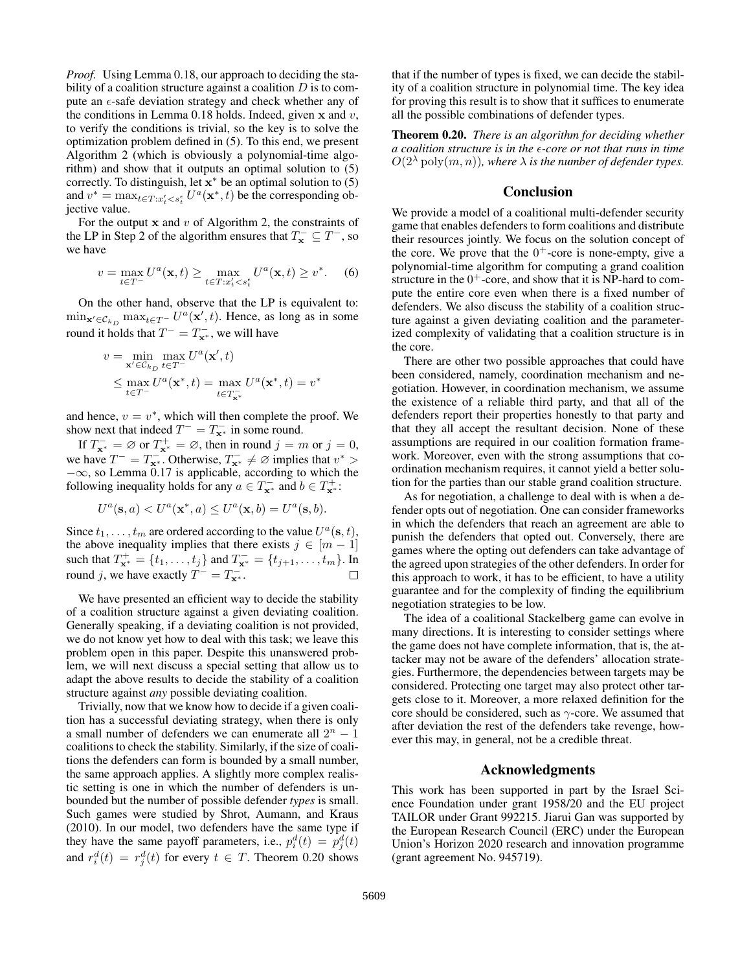*Proof.* Using Lemma 0.18, our approach to deciding the stability of a coalition structure against a coalition  $D$  is to compute an  $\epsilon$ -safe deviation strategy and check whether any of the conditions in Lemma 0.18 holds. Indeed, given  $x$  and  $v$ , to verify the conditions is trivial, so the key is to solve the optimization problem defined in (5). To this end, we present Algorithm 2 (which is obviously a polynomial-time algorithm) and show that it outputs an optimal solution to (5) correctly. To distinguish, let  $\mathbf{x}^*$  be an optimal solution to (5) and  $v^* = \max_{t \in T : x_t' < s_t^{\epsilon}} U^a(\mathbf{x}^*, t)$  be the corresponding objective value.

For the output  $x$  and  $v$  of Algorithm 2, the constraints of the LP in Step 2 of the algorithm ensures that  $T_{\mathbf{x}}^- \subseteq T^-$ , so we have

$$
v = \max_{t \in T^{-}} U^{a}(\mathbf{x}, t) \ge \max_{t \in T : x'_{t} < s^{e}_{t}} U^{a}(\mathbf{x}, t) \ge v^{*}.\tag{6}
$$

On the other hand, observe that the LP is equivalent to:  $\min_{\mathbf{x}' \in \mathcal{C}_{k_D}} \max_{t \in T^{-}} U^a(\mathbf{x}', t)$ . Hence, as long as in some round it holds that  $T^- = T_{\mathbf{x}^*}^-$ , we will have

$$
v = \min_{\mathbf{x}' \in C_{k_D}} \max_{t \in T^-} U^a(\mathbf{x}', t)
$$
  
\$\leq \max\_{t \in T^-} U^a(\mathbf{x}^\*, t) = \max\_{t \in T^-\_{\mathbf{x}^\*}} U^a(\mathbf{x}^\*, t) = v^\*\$

and hence,  $v = v^*$ , which will then complete the proof. We show next that indeed  $T^- = T^-_{\mathbf{x}^*}$  in some round.

If  $T_{\mathbf{x}^*}^- = \emptyset$  or  $T_{\mathbf{x}^*}^+ = \emptyset$ , then in round  $j = m$  or  $j = 0$ , we have  $T^- = T^-_{\mathbf{x}^*}$ . Otherwise,  $T^-_{\mathbf{x}^*} \neq \emptyset$  implies that  $v^*$  $-\infty$ , so Lemma 0.17 is applicable, according to which the following inequality holds for any  $a \in T_{\mathbf{x}^*}^-$  and  $b \in T_{\mathbf{x}^*}^+$ :

$$
U^{a}(\mathbf{s},a) < U^{a}(\mathbf{x}^{\ast},a) \leq U^{a}(\mathbf{x},b) = U^{a}(\mathbf{s},b).
$$

Since  $t_1, \ldots, t_m$  are ordered according to the value  $U^a(\mathbf{s}, t)$ , the above inequality implies that there exists  $j \in [m-1]$ such that  $T_{\mathbf{x}^*}^+ = \{t_1, \ldots, t_j\}$  and  $T_{\mathbf{x}^*}^- = \{t_{j+1}, \ldots, t_m\}$ . In round j, we have exactly  $T^- = T^-_{\mathbf{x}^*}$ .

We have presented an efficient way to decide the stability of a coalition structure against a given deviating coalition. Generally speaking, if a deviating coalition is not provided, we do not know yet how to deal with this task; we leave this problem open in this paper. Despite this unanswered problem, we will next discuss a special setting that allow us to adapt the above results to decide the stability of a coalition structure against *any* possible deviating coalition.

Trivially, now that we know how to decide if a given coalition has a successful deviating strategy, when there is only a small number of defenders we can enumerate all  $2^n - 1$ coalitions to check the stability. Similarly, if the size of coalitions the defenders can form is bounded by a small number, the same approach applies. A slightly more complex realistic setting is one in which the number of defenders is unbounded but the number of possible defender *types* is small. Such games were studied by Shrot, Aumann, and Kraus (2010). In our model, two defenders have the same type if they have the same payoff parameters, i.e.,  $p_i^d(t) = p_j^d(t)$ and  $r_i^d(t) = r_j^d(t)$  for every  $t \in T$ . Theorem 0.20 shows

that if the number of types is fixed, we can decide the stability of a coalition structure in polynomial time. The key idea for proving this result is to show that it suffices to enumerate all the possible combinations of defender types.

Theorem 0.20. *There is an algorithm for deciding whether a coalition structure is in the -core or not that runs in time*  $O(2^{\lambda} \text{ poly}(m, n))$ , where  $\lambda$  *is the number of defender types.* 

## Conclusion

We provide a model of a coalitional multi-defender security game that enables defenders to form coalitions and distribute their resources jointly. We focus on the solution concept of the core. We prove that the  $0^+$ -core is none-empty, give a polynomial-time algorithm for computing a grand coalition structure in the  $0^+$ -core, and show that it is NP-hard to compute the entire core even when there is a fixed number of defenders. We also discuss the stability of a coalition structure against a given deviating coalition and the parameterized complexity of validating that a coalition structure is in the core.

There are other two possible approaches that could have been considered, namely, coordination mechanism and negotiation. However, in coordination mechanism, we assume the existence of a reliable third party, and that all of the defenders report their properties honestly to that party and that they all accept the resultant decision. None of these assumptions are required in our coalition formation framework. Moreover, even with the strong assumptions that coordination mechanism requires, it cannot yield a better solution for the parties than our stable grand coalition structure.

As for negotiation, a challenge to deal with is when a defender opts out of negotiation. One can consider frameworks in which the defenders that reach an agreement are able to punish the defenders that opted out. Conversely, there are games where the opting out defenders can take advantage of the agreed upon strategies of the other defenders. In order for this approach to work, it has to be efficient, to have a utility guarantee and for the complexity of finding the equilibrium negotiation strategies to be low.

The idea of a coalitional Stackelberg game can evolve in many directions. It is interesting to consider settings where the game does not have complete information, that is, the attacker may not be aware of the defenders' allocation strategies. Furthermore, the dependencies between targets may be considered. Protecting one target may also protect other targets close to it. Moreover, a more relaxed definition for the core should be considered, such as  $\gamma$ -core. We assumed that after deviation the rest of the defenders take revenge, however this may, in general, not be a credible threat.

#### Acknowledgments

This work has been supported in part by the Israel Science Foundation under grant 1958/20 and the EU project TAILOR under Grant 992215. Jiarui Gan was supported by the European Research Council (ERC) under the European Union's Horizon 2020 research and innovation programme (grant agreement No. 945719).